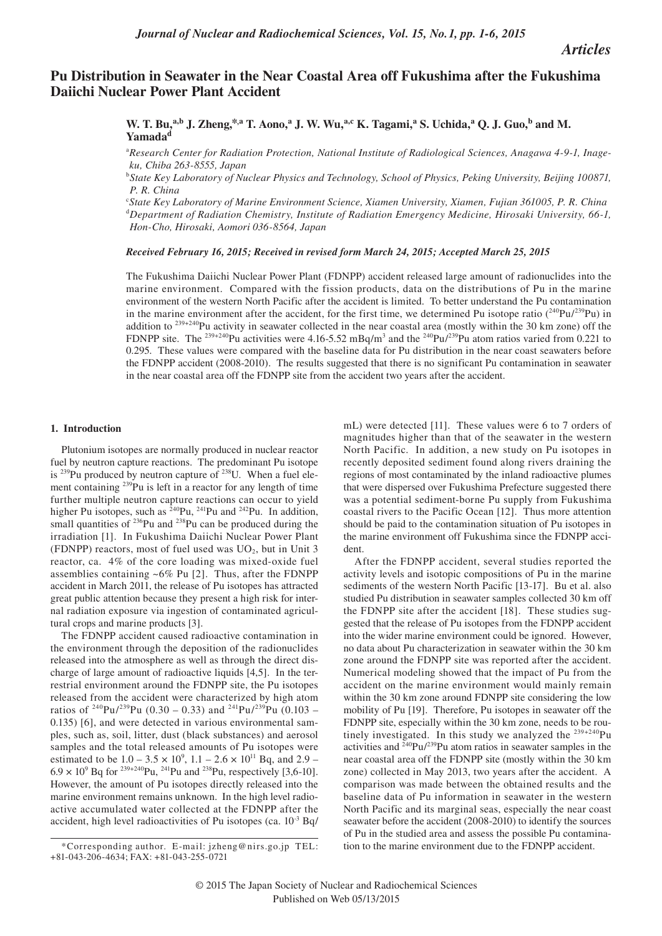# **Pu Distribution in Seawater in the Near Coastal Area off Fukushima after the Fukushima Daiichi Nuclear Power Plant Accident**

W. T. Bu,<sup>a,b</sup> J. Zheng,<sup>\*,a</sup> T. Aono,<sup>a</sup> J. W. Wu,<sup>a,c</sup> K. Tagami,<sup>a</sup> S. Uchida,<sup>a</sup> Q. J. Guo,<sup>b</sup> and M. **Yamada<sup>d</sup>**

<sup>a</sup> Research Center for Radiation Protection, National Institute of Radiological Sciences, Anagawa 4-9-1, Inage*ku, Chiba 263-8555, Japan*

<sup>b</sup>*State Key Laboratory of Nuclear Physics and Technology, School of Physics, Peking University, Beijing 100871, P. R. China*

c *State Key Laboratory of Marine Environment Science, Xiamen University, Xiamen, Fujian 361005, P. R. China* <sup>d</sup>*Department of Radiation Chemistry, Institute of Radiation Emergency Medicine, Hirosaki University, 66-1, Hon-Cho, Hirosaki, Aomori 036-8564, Japan*

# *Received February 16, 2015; Received in revised form March 24, 2015; Accepted March 25, 2015*

The Fukushima Daiichi Nuclear Power Plant (FDNPP) accident released large amount of radionuclides into the marine environment. Compared with the fission products, data on the distributions of Pu in the marine environment of the western North Pacific after the accident is limited. To better understand the Pu contamination in the marine environment after the accident, for the first time, we determined Pu isotope ratio  $(^{240}Pu)^{239}Pu)$  in addition to <sup>239+240</sup>Pu activity in seawater collected in the near coastal area (mostly within the 30 km zone) off the FDNPP site. The <sup>239+240</sup>Pu activities were 4.16-5.52 mBq/m<sup>3</sup> and the <sup>240</sup>Pu/<sup>239</sup>Pu atom ratios varied from 0.221 to 0.295. These values were compared with the baseline data for Pu distribution in the near coast seawaters before the FDNPP accident (2008-2010). The results suggested that there is no significant Pu contamination in seawater in the near coastal area off the FDNPP site from the accident two years after the accident.

#### **1. Introduction**

Plutonium isotopes are normally produced in nuclear reactor fuel by neutron capture reactions. The predominant Pu isotope is  $^{239}$ Pu produced by neutron capture of  $^{238}$ U. When a fuel element containing <sup>239</sup>Pu is left in a reactor for any length of time further multiple neutron capture reactions can occur to yield higher Pu isotopes, such as  $^{240}$ Pu,  $^{241}$ Pu and  $^{242}$ Pu. In addition, small quantities of  $236$ Pu and  $238$ Pu can be produced during the irradiation [1]. In Fukushima Daiichi Nuclear Power Plant (FDNPP) reactors, most of fuel used was  $UO<sub>2</sub>$ , but in Unit 3 reactor, ca. 4% of the core loading was mixed-oxide fuel assemblies containing  $~6\%$  Pu [2]. Thus, after the FDNPP accident in March 2011, the release of Pu isotopes has attracted great public attention because they present a high risk for internal radiation exposure via ingestion of contaminated agricultural crops and marine products [3].

The FDNPP accident caused radioactive contamination in the environment through the deposition of the radionuclides released into the atmosphere as well as through the direct discharge of large amount of radioactive liquids [4,5]. In the terrestrial environment around the FDNPP site, the Pu isotopes released from the accident were characterized by high atom ratios of <sup>240</sup>Pu/<sup>239</sup>Pu (0.30 – 0.33) and <sup>241</sup>Pu/<sup>239</sup>Pu (0.103 – 0.135) [6], and were detected in various environmental samples, such as, soil, litter, dust (black substances) and aerosol samples and the total released amounts of Pu isotopes were estimated to be  $1.0 - 3.5 \times 10^9$ ,  $1.1 - 2.6 \times 10^{11}$  Bq, and  $2.9 6.9 \times 10^{9}$  Bq for <sup>239+240</sup>Pu, <sup>241</sup>Pu and <sup>238</sup>Pu, respectively [3,6-10]. However, the amount of Pu isotopes directly released into the marine environment remains unknown. In the high level radioactive accumulated water collected at the FDNPP after the accident, high level radioactivities of Pu isotopes (ca. 10-3 Bq/

mL) were detected [11]. These values were 6 to 7 orders of magnitudes higher than that of the seawater in the western North Pacific. In addition, a new study on Pu isotopes in recently deposited sediment found along rivers draining the regions of most contaminated by the inland radioactive plumes that were dispersed over Fukushima Prefecture suggested there was a potential sediment-borne Pu supply from Fukushima coastal rivers to the Pacific Ocean [12]. Thus more attention should be paid to the contamination situation of Pu isotopes in the marine environment off Fukushima since the FDNPP accident.

After the FDNPP accident, several studies reported the activity levels and isotopic compositions of Pu in the marine sediments of the western North Pacific [13-17]. Bu et al. also studied Pu distribution in seawater samples collected 30 km off the FDNPP site after the accident [18]. These studies suggested that the release of Pu isotopes from the FDNPP accident into the wider marine environment could be ignored. However, no data about Pu characterization in seawater within the 30 km zone around the FDNPP site was reported after the accident. Numerical modeling showed that the impact of Pu from the accident on the marine environment would mainly remain within the 30 km zone around FDNPP site considering the low mobility of Pu [19]. Therefore, Pu isotopes in seawater off the FDNPP site, especially within the 30 km zone, needs to be routinely investigated. In this study we analyzed the  $239+240$ Pu activities and  $240$ Pu/<sup>239</sup>Pu atom ratios in seawater samples in the near coastal area off the FDNPP site (mostly within the 30 km zone) collected in May 2013, two years after the accident. A comparison was made between the obtained results and the baseline data of Pu information in seawater in the western North Pacific and its marginal seas, especially the near coast seawater before the accident (2008-2010) to identify the sources of Pu in the studied area and assess the possible Pu contamination to the marine environment due to the FDNPP accident.

<sup>\*</sup>Corresponding author. E-mail: jzheng@nirs.go.jp TEL: +81-043-206-4634; FAX: +81-043-255-0721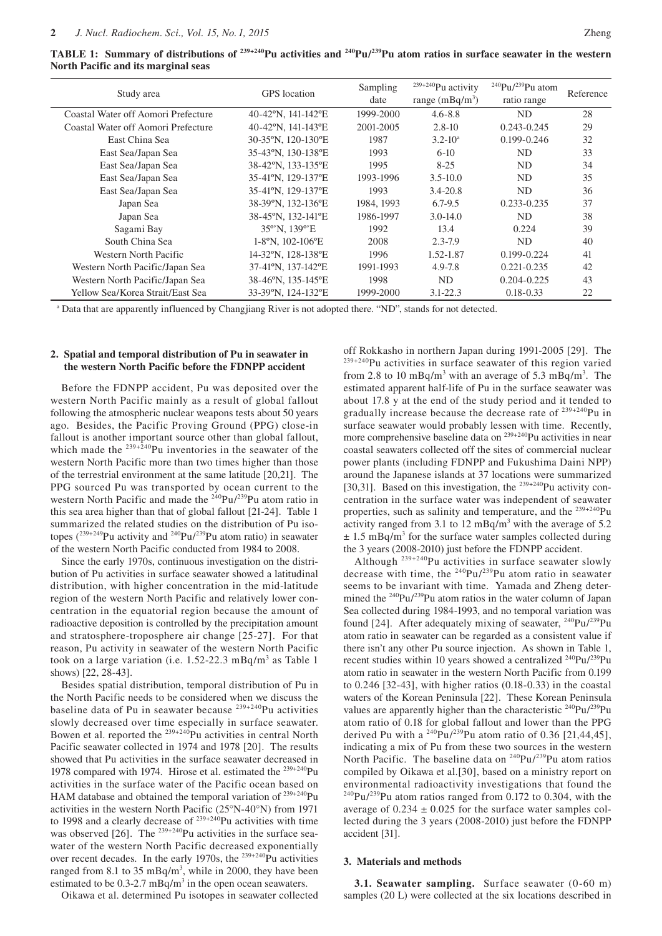**TABLE 1: Summary of distributions of <sup>239+240</sup>Pu activities and <sup>240</sup>Pu/<sup>239</sup>Pu atom ratios in surface seawater in the western North Pacific and its marginal seas**

| Study area                          | <b>GPS</b> location | Sampling<br>date | $239+240$ Pu activity<br>range $(mBq/m3)$ | <sup>240</sup> Pu/ <sup>239</sup> Pu atom<br>ratio range | Reference |
|-------------------------------------|---------------------|------------------|-------------------------------------------|----------------------------------------------------------|-----------|
| Coastal Water off Aomori Prefecture | 40-42°N, 141-142°E  | 1999-2000        | $4.6 - 8.8$                               | ND.                                                      | 28        |
| Coastal Water off Aomori Prefecture | 40-42°N, 141-143°E  | 2001-2005        | $2.8 - 10$                                | $0.243 - 0.245$                                          | 29        |
| East China Sea                      | 30-35°N, 120-130°E  | 1987             | $3.2 - 10^a$                              | $0.199 - 0.246$                                          | 32        |
| East Sea/Japan Sea                  | 35-43°N, 130-138°E  | 1993             | $6-10$                                    | ND.                                                      | 33        |
| East Sea/Japan Sea                  | 38-42°N, 133-135°E  | 1995             | $8-25$                                    | ND.                                                      | 34        |
| East Sea/Japan Sea                  | 35-41°N, 129-137°E  | 1993-1996        | $3.5 - 10.0$                              | ND.                                                      | 35        |
| East Sea/Japan Sea                  | 35-41°N, 129-137°E  | 1993             | $3.4 - 20.8$                              | ND.                                                      | 36        |
| Japan Sea                           | 38-39°N, 132-136°E  | 1984, 1993       | $6.7 - 9.5$                               | $0.233 - 0.235$                                          | 37        |
| Japan Sea                           | 38-45°N, 132-141°E  | 1986-1997        | $3.0 - 14.0$                              | <b>ND</b>                                                | 38        |
| Sagami Bay                          | 35°'N, 139°'E       | 1992             | 13.4                                      | 0.224                                                    | 39        |
| South China Sea                     | $1-8$ °N, 102-106°E | 2008             | $2.3 - 7.9$                               | ND.                                                      | 40        |
| Western North Pacific               | 14-32°N, 128-138°E  | 1996             | 1.52-1.87                                 | 0.199-0.224                                              | 41        |
| Western North Pacific/Japan Sea     | 37-41°N, 137-142°E  | 1991-1993        | $4.9 - 7.8$                               | $0.221 - 0.235$                                          | 42        |
| Western North Pacific/Japan Sea     | 38-46°N, 135-145°E  | 1998             | ND                                        | $0.204 - 0.225$                                          | 43        |
| Yellow Sea/Korea Strait/East Sea    | 33-39°N, 124-132°E  | 1999-2000        | $3.1 - 22.3$                              | $0.18 - 0.33$                                            | 22        |

<sup>a</sup> Data that are apparently influenced by Changjiang River is not adopted there. "ND", stands for not detected.

#### **2. Spatial and temporal distribution of Pu in seawater in the western North Pacific before the FDNPP accident**

Before the FDNPP accident, Pu was deposited over the western North Pacific mainly as a result of global fallout following the atmospheric nuclear weapons tests about 50 years ago. Besides, the Pacific Proving Ground (PPG) close-in fallout is another important source other than global fallout, which made the  $239+240$ Pu inventories in the seawater of the western North Pacific more than two times higher than those of the terrestrial environment at the same latitude [20,21]. The PPG sourced Pu was transported by ocean current to the western North Pacific and made the <sup>240</sup>Pu/<sup>239</sup>Pu atom ratio in this sea area higher than that of global fallout [21-24]. Table 1 summarized the related studies on the distribution of Pu isotopes  $(^{239+249}$ Pu activity and  $^{240}$ Pu/<sup>239</sup>Pu atom ratio) in seawater of the western North Pacific conducted from 1984 to 2008.

Since the early 1970s, continuous investigation on the distribution of Pu activities in surface seawater showed a latitudinal distribution, with higher concentration in the mid-latitude region of the western North Pacific and relatively lower concentration in the equatorial region because the amount of radioactive deposition is controlled by the precipitation amount and stratosphere-troposphere air change [25-27]. For that reason, Pu activity in seawater of the western North Pacific took on a large variation (i.e. 1.52-22.3 mBq/m<sup>3</sup> as Table 1 shows) [22, 28-43].

Besides spatial distribution, temporal distribution of Pu in the North Pacific needs to be considered when we discuss the baseline data of Pu in seawater because <sup>239+240</sup>Pu activities slowly decreased over time especially in surface seawater. Bowen et al. reported the  $^{239+240}$ Pu activities in central North Pacific seawater collected in 1974 and 1978 [20]. The results showed that Pu activities in the surface seawater decreased in 1978 compared with 1974. Hirose et al. estimated the <sup>239+240</sup>Pu activities in the surface water of the Pacific ocean based on HAM database and obtained the temporal variation of <sup>239+240</sup>Pu activities in the western North Pacific (25°N-40°N) from 1971 to 1998 and a clearly decrease of  $239+240$ Pu activities with time was observed  $[26]$ . The  $^{239+240}$ Pu activities in the surface seawater of the western North Pacific decreased exponentially over recent decades. In the early 1970s, the <sup>239+240</sup>Pu activities ranged from 8.1 to 35 mBq/m<sup>3</sup>, while in 2000, they have been estimated to be  $0.3{\text -}2.7$  mBq/m<sup>3</sup> in the open ocean seawaters.

Oikawa et al. determined Pu isotopes in seawater collected

off Rokkasho in northern Japan during 1991-2005 [29]. The 239+240Pu activities in surface seawater of this region varied from 2.8 to 10 mBq/m<sup>3</sup> with an average of 5.3 mBq/m<sup>3</sup>. The estimated apparent half-life of Pu in the surface seawater was about 17.8 y at the end of the study period and it tended to gradually increase because the decrease rate of  $239+240$ Pu in surface seawater would probably lessen with time. Recently, more comprehensive baseline data on <sup>239+240</sup>Pu activities in near coastal seawaters collected off the sites of commercial nuclear power plants (including FDNPP and Fukushima Daini NPP) around the Japanese islands at 37 locations were summarized [30,31]. Based on this investigation, the <sup>239+240</sup>Pu activity concentration in the surface water was independent of seawater properties, such as salinity and temperature, and the  $^{239+240}$ Pu activity ranged from 3.1 to  $12 \text{ mBq/m}^3$  with the average of 5.2  $\pm$  1.5 mBq/m<sup>3</sup> for the surface water samples collected during the 3 years (2008-2010) just before the FDNPP accident.

Although 239+240Pu activities in surface seawater slowly decrease with time, the 240Pu/239Pu atom ratio in seawater seems to be invariant with time. Yamada and Zheng determined the  $240$ Pu/ $239$ Pu atom ratios in the water column of Japan Sea collected during 1984-1993, and no temporal variation was found [24]. After adequately mixing of seawater,  $^{240}Pu^{239}Pu$ atom ratio in seawater can be regarded as a consistent value if there isn't any other Pu source injection. As shown in Table 1, recent studies within 10 years showed a centralized <sup>240</sup>Pu/<sup>239</sup>Pu atom ratio in seawater in the western North Pacific from 0.199 to 0.246 [32-43], with higher ratios (0.18-0.33) in the coastal waters of the Korean Peninsula [22]. These Korean Peninsula values are apparently higher than the characteristic  $^{240}Pu^{239}Pu$ atom ratio of 0.18 for global fallout and lower than the PPG derived Pu with a  $^{240}Pu^{239}Pu$  atom ratio of 0.36 [21,44,45], indicating a mix of Pu from these two sources in the western North Pacific. The baseline data on  $240 \text{Pu}/239 \text{Pu}$  atom ratios compiled by Oikawa et al.[30], based on a ministry report on environmental radioactivity investigations that found the  $^{240}$ Pu/<sup>239</sup>Pu atom ratios ranged from 0.172 to 0.304, with the average of  $0.234 \pm 0.025$  for the surface water samples collected during the 3 years (2008-2010) just before the FDNPP accident [31].

## **3. Materials and methods**

**3.1. Seawater sampling.** Surface seawater (0-60 m) samples (20 L) were collected at the six locations described in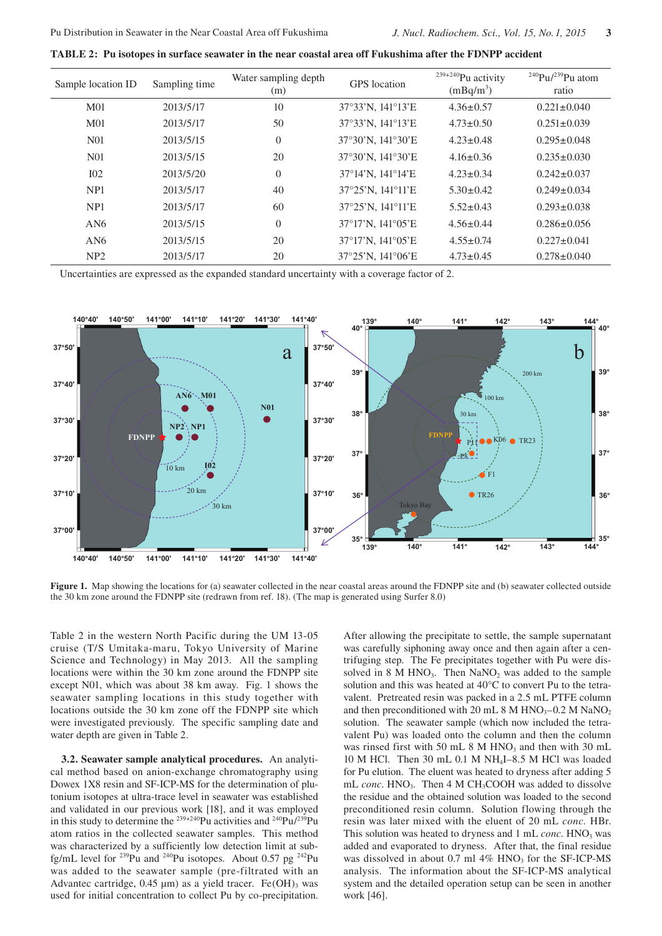| Sample location ID | Sampling time | Water sampling depth<br>(m) | <b>GPS</b> location | $239+240$ Pu activity<br>$(mBq/m^3)$ | <sup>240</sup> Pu/ <sup>239</sup> Pu atom<br>ratio |
|--------------------|---------------|-----------------------------|---------------------|--------------------------------------|----------------------------------------------------|
| M <sub>01</sub>    | 2013/5/17     | 10                          | 37°33'N, 141°13'E   | $4.36 \pm 0.57$                      | $0.221 \pm 0.040$                                  |
| M <sub>01</sub>    | 2013/5/17     | 50                          | 37°33'N, 141°13'E   | $4.73 \pm 0.50$                      | $0.251 \pm 0.039$                                  |
| <b>N01</b>         | 2013/5/15     | $\boldsymbol{0}$            | 37°30'N, 141°30'E   | $4.23 \pm 0.48$                      | $0.295 \pm 0.048$                                  |
| N <sub>0</sub> 1   | 2013/5/15     | 20                          | 37°30'N, 141°30'E   | $4.16 \pm 0.36$                      | $0.235 \pm 0.030$                                  |
| I <sub>02</sub>    | 2013/5/20     | $\theta$                    | 37°14'N, 141°14'E   | $4.23 \pm 0.34$                      | $0.242 \pm 0.037$                                  |
| NP <sub>1</sub>    | 2013/5/17     | 40                          | 37°25'N, 141°11'E   | $5.30 \pm 0.42$                      | $0.249 \pm 0.034$                                  |
| NP <sub>1</sub>    | 2013/5/17     | 60                          | 37°25'N, 141°11'E   | $5.52 \pm 0.43$                      | $0.293 \pm 0.038$                                  |
| AN6                | 2013/5/15     | $\theta$                    | 37°17'N, 141°05'E   | $4.56 \pm 0.44$                      | $0.286 \pm 0.056$                                  |
| AN6                | 2013/5/15     | 20                          | 37°17'N, 141°05'E   | $4.55 \pm 0.74$                      | $0.227 \pm 0.041$                                  |
| NP <sub>2</sub>    | 2013/5/17     | 20                          | 37°25'N, 141°06'E   | $4.73 \pm 0.45$                      | $0.278 \pm 0.040$                                  |

Uncertainties are expressed as the expanded standard uncertainty with a coverage factor of 2.



Figure 1. Map showing the locations for (a) seawater collected in the near coastal areas around the FDNPP site and (b) seawater collected outside the 30 km zone around the FDNPP site (redrawn from ref. 18). (The map is generated using Surfer 8.0)

Table 2 in the western North Pacific during the UM 13-05 cruise (T/S Umitaka-maru, Tokyo University of Marine Science and Technology) in May 2013. All the sampling locations were within the 30 km zone around the FDNPP site except N01, which was about 38 km away. Fig. 1 shows the seawater sampling locations in this study together with locations outside the 30 km zone off the FDNPP site which were investigated previously. The specific sampling date and water depth are given in Table 2.

**3.2. Seawater sample analytical procedures.** An analytical method based on anion-exchange chromatography using Dowex 1X8 resin and SF-ICP-MS for the determination of plutonium isotopes at ultra-trace level in seawater was established and validated in our previous work [18], and it was employed in this study to determine the <sup>239+240</sup>Pu activities and <sup>240</sup>Pu<sup>/239</sup>Pu atom ratios in the collected seawater samples. This method was characterized by a sufficiently low detection limit at subfg/mL level for <sup>239</sup>Pu and <sup>240</sup>Pu isotopes. About 0.57 pg <sup>242</sup>Pu was added to the seawater sample (pre-filtrated with an Advantec cartridge,  $0.45 \mu m$ ) as a yield tracer. Fe(OH)<sub>3</sub> was used for initial concentration to collect Pu by co-precipitation. After allowing the precipitate to settle, the sample supernatant was carefully siphoning away once and then again after a centrifuging step. The Fe precipitates together with Pu were dissolved in 8 M HNO<sub>3</sub>. Then  $NaNO<sub>2</sub>$  was added to the sample solution and this was heated at 40°C to convert Pu to the tetravalent. Pretreated resin was packed in a 2.5 mL PTFE column and then preconditioned with 20 mL 8 M HNO<sub>3</sub>–0.2 M NaNO<sub>2</sub> solution. The seawater sample (which now included the tetravalent Pu) was loaded onto the column and then the column was rinsed first with 50 mL  $8$  M HNO<sub>3</sub> and then with 30 mL 10 M HCl. Then 30 mL 0.1 M NH4I–8.5 M HCl was loaded for Pu elution. The eluent was heated to dryness after adding 5 mL *conc*. HNO<sub>3</sub>. Then 4 M CH<sub>3</sub>COOH was added to dissolve the residue and the obtained solution was loaded to the second preconditioned resin column. Solution flowing through the resin was later mixed with the eluent of 20 mL *conc.* HBr. This solution was heated to dryness and 1 mL *conc*. HNO<sub>3</sub> was added and evaporated to dryness. After that, the final residue was dissolved in about  $0.7$  ml  $4\%$  HNO<sub>3</sub> for the SF-ICP-MS analysis. The information about the SF-ICP-MS analytical system and the detailed operation setup can be seen in another work [46].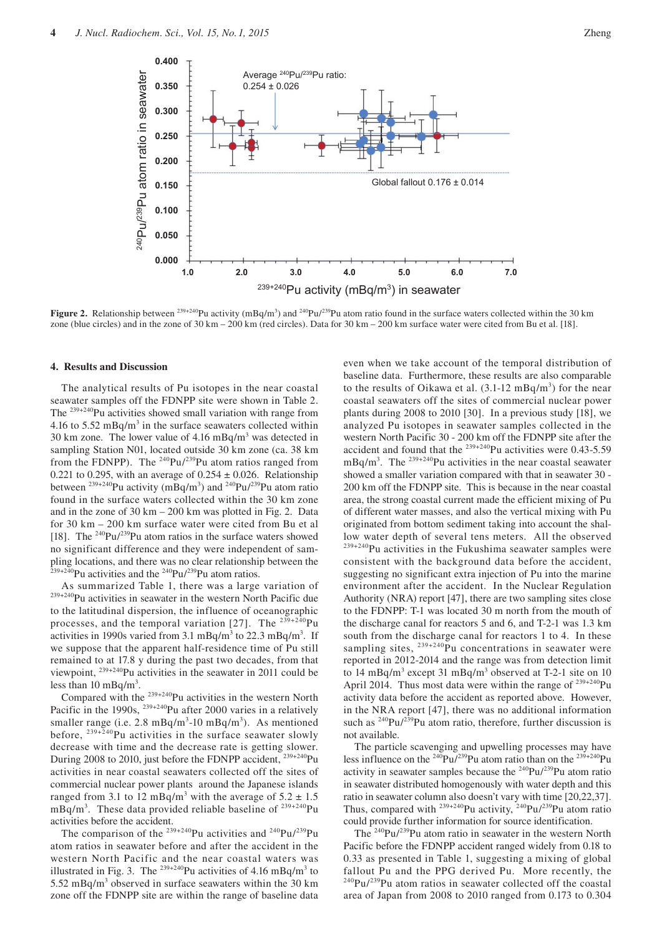

**Figure 2.** Relationship between  $^{239+240}$ Pu activity (mBq/m<sup>3</sup>) and  $^{240}$ Pu/<sup>239</sup>Pu atom ratio found in the surface waters collected within the 30 km zone (blue circles) and in the zone of 30 km – 200 km (red circles). Data for 30 km – 200 km surface water were cited from Bu et al. [18].

#### **4. Results and Discussion**

The analytical results of Pu isotopes in the near coastal seawater samples off the FDNPP site were shown in Table 2. The 239+240Pu activities showed small variation with range from 4.16 to 5.52 mBq/m<sup>3</sup> in the surface seawaters collected within 30 km zone. The lower value of  $4.16 \text{ mBq/m}^3$  was detected in sampling Station N01, located outside 30 km zone (ca. 38 km from the FDNPP). The  $240$ Pu/ $239$ Pu atom ratios ranged from 0.221 to 0.295, with an average of  $0.254 \pm 0.026$ . Relationship between <sup>239+240</sup>Pu activity (mBq/m<sup>3</sup>) and <sup>240</sup>Pu/<sup>239</sup>Pu atom ratio found in the surface waters collected within the 30 km zone and in the zone of 30 km – 200 km was plotted in Fig. 2. Data for 30 km – 200 km surface water were cited from Bu et al [18]. The  $^{240}$ Pu/ $^{239}$ Pu atom ratios in the surface waters showed no significant difference and they were independent of sampling locations, and there was no clear relationship between the  $^{39+240}$ Pu activities and the  $^{240}$ Pu/ $^{239}$ Pu atom ratios.

As summarized Table 1, there was a large variation of <sup>239+240</sup>Pu activities in seawater in the western North Pacific due to the latitudinal dispersion, the influence of oceanographic processes, and the temporal variation [27]. The  $^{239+240}$ Pu activities in 1990s varied from 3.1 mBq/m<sup>3</sup> to 22.3 mBq/m<sup>3</sup>. If we suppose that the apparent half-residence time of Pu still remained to at 17.8 y during the past two decades, from that viewpoint, 239+240Pu activities in the seawater in 2011 could be less than  $10 \text{ mBq/m}^3$ .

Compared with the 239+240Pu activities in the western North Pacific in the 1990s, <sup>239+240</sup>Pu after 2000 varies in a relatively smaller range (i.e.  $2.8 \text{ mBq/m}^3$ -10 mBq/m<sup>3</sup>). As mentioned before,  $239 + 240$ Pu activities in the surface seawater slowly decrease with time and the decrease rate is getting slower. During 2008 to 2010, just before the FDNPP accident, <sup>239+240</sup>Pu activities in near coastal seawaters collected off the sites of commercial nuclear power plants around the Japanese islands ranged from 3.1 to 12 mBq/m<sup>3</sup> with the average of  $5.2 \pm 1.5$ mBq/m<sup>3</sup>. These data provided reliable baseline of  $239+240$ Pu activities before the accident.

The comparison of the  $^{239+240}$ Pu activities and  $^{240}$ Pu/ $^{239}$ Pu atom ratios in seawater before and after the accident in the western North Pacific and the near coastal waters was illustrated in Fig. 3. The  $^{239+240}$ Pu activities of 4.16 mBq/m<sup>3</sup> to  $5.52 \text{ mBq/m}^3$  observed in surface seawaters within the 30 km zone off the FDNPP site are within the range of baseline data

even when we take account of the temporal distribution of baseline data. Furthermore, these results are also comparable to the results of Oikawa et al.  $(3.1\n-12 \text{ mBq/m}^3)$  for the near coastal seawaters off the sites of commercial nuclear power plants during 2008 to 2010 [30]. In a previous study [18], we analyzed Pu isotopes in seawater samples collected in the western North Pacific 30 - 200 km off the FDNPP site after the accident and found that the  $239+240$ Pu activities were 0.43-5.59  $mBq/m<sup>3</sup>$ . The <sup>239+240</sup>Pu activities in the near coastal seawater showed a smaller variation compared with that in seawater 30 - 200 km off the FDNPP site. This is because in the near coastal area, the strong coastal current made the efficient mixing of Pu of different water masses, and also the vertical mixing with Pu originated from bottom sediment taking into account the shallow water depth of several tens meters. All the observed 239+240Pu activities in the Fukushima seawater samples were consistent with the background data before the accident, suggesting no significant extra injection of Pu into the marine environment after the accident. In the Nuclear Regulation Authority (NRA) report [47], there are two sampling sites close to the FDNPP: T-1 was located 30 m north from the mouth of the discharge canal for reactors 5 and 6, and T-2-1 was 1.3 km south from the discharge canal for reactors 1 to 4. In these sampling sites,  $^{239+240}$ Pu concentrations in seawater were reported in 2012-2014 and the range was from detection limit to 14 mBq/m<sup>3</sup> except 31 mBq/m<sup>3</sup> observed at T-2-1 site on 10 April 2014. Thus most data were within the range of  $239+240$ Pu activity data before the accident as reported above. However, in the NRA report [47], there was no additional information such as  $240$ Pu/ $239$ Pu atom ratio, therefore, further discussion is not available.

The particle scavenging and upwelling processes may have less influence on the  $^{240}Pu^{239}Pu$  atom ratio than on the  $^{239+240}Pu$ activity in seawater samples because the 240Pu/239Pu atom ratio in seawater distributed homogenously with water depth and this ratio in seawater column also doesn't vary with time [20,22,37]. Thus, compared with  $^{239+240}$ Pu activity,  $^{240}$ Pu/ $^{239}$ Pu atom ratio could provide further information for source identification.

The 240Pu/239Pu atom ratio in seawater in the western North Pacific before the FDNPP accident ranged widely from 0.18 to 0.33 as presented in Table 1, suggesting a mixing of global fallout Pu and the PPG derived Pu. More recently, the  $^{240}Pu/^{239}Pu$  atom ratios in seawater collected off the coastal area of Japan from 2008 to 2010 ranged from 0.173 to 0.304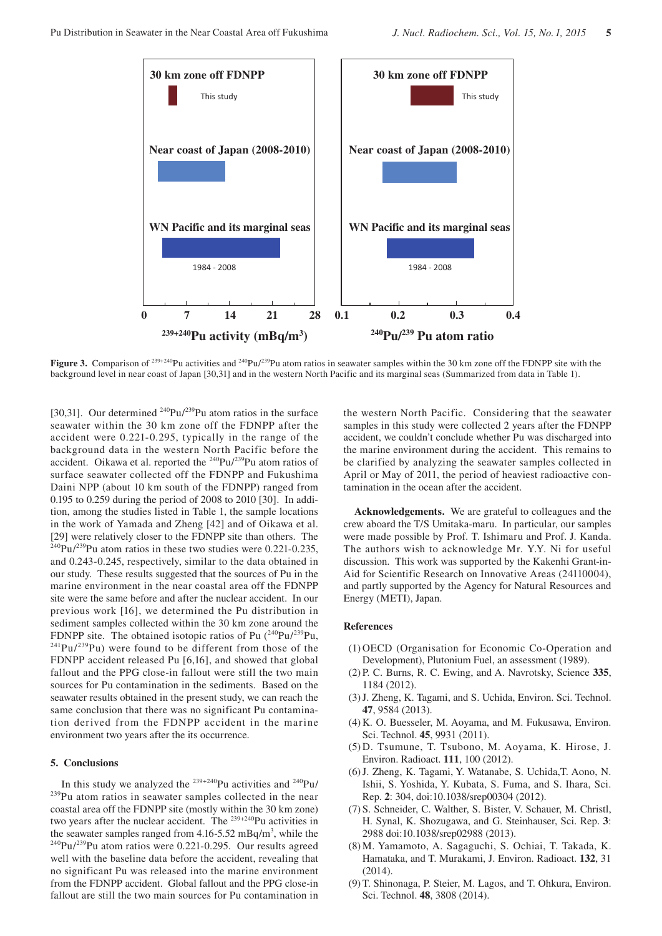

**Figure 3.** Comparison of <sup>239+240</sup>Pu activities and <sup>240</sup>Pu/<sup>239</sup>Pu atom ratios in seawater samples within the 30 km zone off the FDNPP site with the background level in near coast of Japan [30,31] and in the western North Pacific and its marginal seas (Summarized from data in Table 1).

[30,31]. Our determined  $^{240}Pu/^{239}Pu$  atom ratios in the surface seawater within the 30 km zone off the FDNPP after the accident were 0.221-0.295, typically in the range of the background data in the western North Pacific before the accident. Oikawa et al. reported the  $240$ Pu/ $239$ Pu atom ratios of surface seawater collected off the FDNPP and Fukushima Daini NPP (about 10 km south of the FDNPP) ranged from 0.195 to 0.259 during the period of 2008 to 2010 [30]. In addition, among the studies listed in Table 1, the sample locations in the work of Yamada and Zheng [42] and of Oikawa et al. [29] were relatively closer to the FDNPP site than others. The  $^{240}Pu/^{239}Pu$  atom ratios in these two studies were 0.221-0.235, and 0.243-0.245, respectively, similar to the data obtained in our study. These results suggested that the sources of Pu in the marine environment in the near coastal area off the FDNPP site were the same before and after the nuclear accident. In our previous work [16], we determined the Pu distribution in sediment samples collected within the 30 km zone around the FDNPP site. The obtained isotopic ratios of Pu  $(^{240}Pu^{239}Pu$ ,  $^{241}Pu^{239}Pu$ ) were found to be different from those of the FDNPP accident released Pu [6,16], and showed that global fallout and the PPG close-in fallout were still the two main sources for Pu contamination in the sediments. Based on the seawater results obtained in the present study, we can reach the same conclusion that there was no significant Pu contamination derived from the FDNPP accident in the marine environment two years after the its occurrence.

## **5. Conclusions**

In this study we analyzed the  $239+240$ Pu activities and  $240$ Pu/ <sup>239</sup>Pu atom ratios in seawater samples collected in the near coastal area off the FDNPP site (mostly within the 30 km zone) two years after the nuclear accident. The <sup>239+240</sup>Pu activities in the seawater samples ranged from  $4.16 - 5.52$  mBq/m<sup>3</sup>, while the  $^{240}$ Pu/<sup>239</sup>Pu atom ratios were 0.221-0.295. Our results agreed well with the baseline data before the accident, revealing that no significant Pu was released into the marine environment from the FDNPP accident. Global fallout and the PPG close-in fallout are still the two main sources for Pu contamination in

the western North Pacific. Considering that the seawater samples in this study were collected 2 years after the FDNPP accident, we couldn't conclude whether Pu was discharged into the marine environment during the accident. This remains to be clarified by analyzing the seawater samples collected in April or May of 2011, the period of heaviest radioactive contamination in the ocean after the accident.

**Acknowledgements.** We are grateful to colleagues and the crew aboard the T/S Umitaka-maru. In particular, our samples were made possible by Prof. T. Ishimaru and Prof. J. Kanda. The authors wish to acknowledge Mr. Y.Y. Ni for useful discussion. This work was supported by the Kakenhi Grant-in-Aid for Scientific Research on Innovative Areas (24110004), and partly supported by the Agency for Natural Resources and Energy (METI), Japan.

#### **References**

- (1) OECD (Organisation for Economic Co-Operation and Development), Plutonium Fuel, an assessment (1989).
- (2) P. C. Burns, R. C. Ewing, and A. Navrotsky, Science **335**, 1184 (2012).
- (3) J. Zheng, K. Tagami, and S. Uchida, Environ. Sci. Technol. **47**, 9584 (2013).
- (4) K. O. Buesseler, M. Aoyama, and M. Fukusawa, Environ. Sci. Technol. **45**, 9931 (2011).
- (5) D. Tsumune, T. Tsubono, M. Aoyama, K. Hirose, J. Environ. Radioact. **111**, 100 (2012).
- (6) J. Zheng, K. Tagami, Y. Watanabe, S. Uchida,T. Aono, N. Ishii, S. Yoshida, Y. Kubata, S. Fuma, and S. Ihara, Sci. Rep. **2**: 304, doi:10.1038/srep00304 (2012).
- (7) S. Schneider, C. Walther, S. Bister, V. Schauer, M. Christl, H. Synal, K. Shozugawa, and G. Steinhauser, Sci. Rep. **3**: 2988 doi:10.1038/srep02988 (2013).
- (8) M. Yamamoto, A. Sagaguchi, S. Ochiai, T. Takada, K. Hamataka, and T. Murakami, J. Environ. Radioact. **132**, 31 (2014).
- (9) T. Shinonaga, P. Steier, M. Lagos, and T. Ohkura, Environ. Sci. Technol. **48**, 3808 (2014).